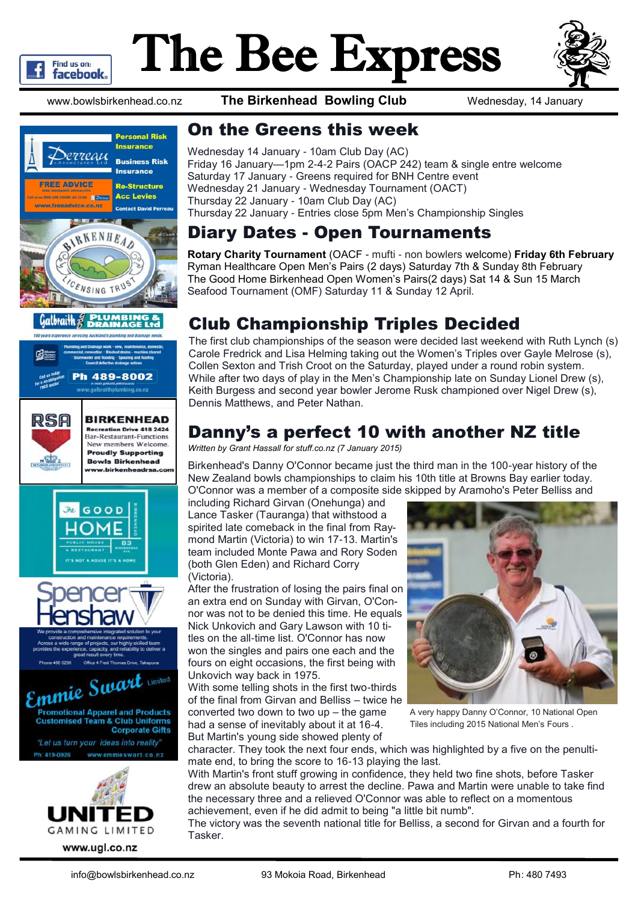

# The Bee Express



www.bowlsbirkenhead.co.nz **The Birkenhead Bowling Club** Wednesday, 14 January



#### Galbraith 2 PLUMBING<br>PAINAGET











#### On the Greens this week

Wednesday 14 January - 10am Club Day (AC) Friday 16 January—1pm 2-4-2 Pairs (OACP 242) team & single entre welcome Saturday 17 January - Greens required for BNH Centre event Wednesday 21 January - Wednesday Tournament (OACT) Thursday 22 January - 10am Club Day (AC) Thursday 22 January - Entries close 5pm Men's Championship Singles

#### Diary Dates - Open Tournaments

**Rotary Charity Tournament** (OACF - mufti - non bowlers welcome) **Friday 6th February** Ryman Healthcare Open Men's Pairs (2 days) Saturday 7th & Sunday 8th February The Good Home Birkenhead Open Women's Pairs(2 days) Sat 14 & Sun 15 March Seafood Tournament (OMF) Saturday 11 & Sunday 12 April.

## Club Championship Triples Decided

The first club championships of the season were decided last weekend with Ruth Lynch (s) Carole Fredrick and Lisa Helming taking out the Women's Triples over Gayle Melrose (s), Collen Sexton and Trish Croot on the Saturday, played under a round robin system. While after two days of play in the Men's Championship late on Sunday Lionel Drew (s), Keith Burgess and second year bowler Jerome Rusk championed over Nigel Drew (s), Dennis Matthews, and Peter Nathan.

## Danny's a perfect 10 with another NZ title

*Written by Grant Hassall for [stuff.co.nz](http://www.stuff.co.nz/sport/other-sports/64799765/Birkenhead-s-Danny-O-Connor-a-perfect-10-with-another-NZ-title) (7 January 2015)*

Birkenhead's Danny O'Connor became just the third man in the 100-year history of the New Zealand bowls championships to claim his 10th title at Browns Bay earlier today. O'Connor was a member of a composite side skipped by Aramoho's Peter Belliss and

including Richard Girvan (Onehunga) and Lance Tasker (Tauranga) that withstood a spirited late comeback in the final from Raymond Martin (Victoria) to win 17-13. Martin's team included Monte Pawa and Rory Soden (both Glen Eden) and Richard Corry (Victoria).

After the frustration of losing the pairs final on an extra end on Sunday with Girvan, O'Connor was not to be denied this time. He equals Nick Unkovich and Gary Lawson with 10 titles on the all-time list. O'Connor has now won the singles and pairs one each and the fours on eight occasions, the first being with Unkovich way back in 1975.

With some telling shots in the first two-thirds of the final from Girvan and Belliss – twice he converted two down to two up – the game had a sense of inevitably about it at 16-4. But Martin's young side showed plenty of



A very happy Danny O'Connor, 10 National Open Tiles including 2015 National Men's Fours .

character. They took the next four ends, which was highlighted by a five on the penultimate end, to bring the score to 16-13 playing the last.

With Martin's front stuff growing in confidence, they held two fine shots, before Tasker drew an absolute beauty to arrest the decline. Pawa and Martin were unable to take find the necessary three and a relieved O'Connor was able to reflect on a momentous achievement, even if he did admit to being "a little bit numb".

The victory was the seventh national title for Belliss, a second for Girvan and a fourth for Tasker.